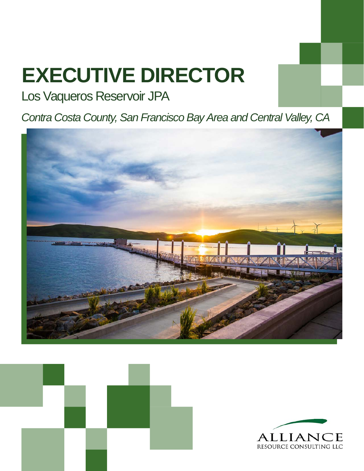# **EXECUTIVE DIRECTOR**

# Los Vaqueros Reservoir JPA

*Contra Costa County, San Francisco Bay Area and Central Valley, CA* 





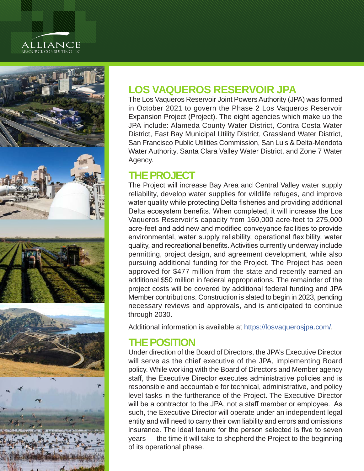# ALLIANCE<br>resource consulting llc



# **LOS VAQUEROS RESERVOIR JPA**

The Los Vaqueros Reservoir Joint Powers Authority (JPA) was formed in October 2021 to govern the Phase 2 Los Vaqueros Reservoir Expansion Project (Project). The eight agencies which make up the JPA include: Alameda County Water District, Contra Costa Water District, East Bay Municipal Utility District, Grassland Water District, San Francisco Public Utilities Commission, San Luis & Delta-Mendota Water Authority, Santa Clara Valley Water District, and Zone 7 Water Agency.

## **THE PROJECT**

The Project will increase Bay Area and Central Valley water supply reliability, develop water supplies for wildlife refuges, and improve water quality while protecting Delta fisheries and providing additional Delta ecosystem benefits. When completed, it will increase the Los Vaqueros Reservoir's capacity from 160,000 acre-feet to 275,000 acre-feet and add new and modified conveyance facilities to provide environmental, water supply reliability, operational flexibility, water quality, and recreational benefits. Activities currently underway include permitting, project design, and agreement development, while also pursuing additional funding for the Project. The Project has been approved for \$477 million from the state and recently earned an additional \$50 million in federal appropriations. The remainder of the project costs will be covered by additional federal funding and JPA Member contributions. Construction is slated to begin in 2023, pending necessary reviews and approvals, and is anticipated to continue through 2030.

Additional information is available at [https://losvaquerosjpa.com/.](https://losvaquerosjpa.com/)

# **THE POSITION**

Under direction of the Board of Directors, the JPA's Executive Director will serve as the chief executive of the JPA, implementing Board policy. While working with the Board of Directors and Member agency staff, the Executive Director executes administrative policies and is responsible and accountable for technical, administrative, and policy level tasks in the furtherance of the Project. The Executive Director will be a contractor to the JPA, not a staff member or employee. As such, the Executive Director will operate under an independent legal entity and will need to carry their own liability and errors and omissions insurance. The ideal tenure for the person selected is five to seven years — the time it will take to shepherd the Project to the beginning of its operational phase.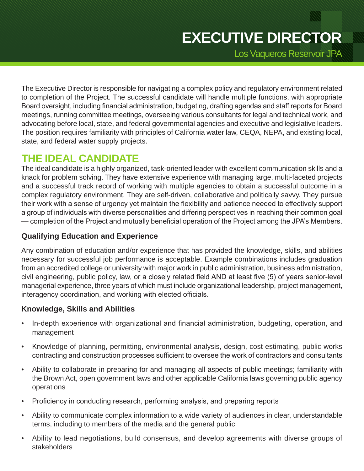Los Vaqueros Reservoir JPA

The Executive Director is responsible for navigating a complex policy and regulatory environment related to completion of the Project. The successful candidate will handle multiple functions, with appropriate Board oversight, including financial administration, budgeting, drafting agendas and staff reports for Board meetings, running committee meetings, overseeing various consultants for legal and technical work, and advocating before local, state, and federal governmental agencies and executive and legislative leaders. The position requires familiarity with principles of California water law, CEQA, NEPA, and existing local, state, and federal water supply projects.

# **THE IDEAL CANDIDATE**

The ideal candidate is a highly organized, task-oriented leader with excellent communication skills and a knack for problem solving. They have extensive experience with managing large, multi-faceted projects and a successful track record of working with multiple agencies to obtain a successful outcome in a complex regulatory environment. They are self-driven, collaborative and politically savvy. They pursue their work with a sense of urgency yet maintain the flexibility and patience needed to effectively support a group of individuals with diverse personalities and differing perspectives in reaching their common goal — completion of the Project and mutually beneficial operation of the Project among the JPA's Members.

#### **Qualifying Education and Experience**

Any combination of education and/or experience that has provided the knowledge, skills, and abilities necessary for successful job performance is acceptable. Example combinations includes graduation from an accredited college or university with major work in public administration, business administration, civil engineering, public policy, law, or a closely related field AND at least five (5) of years senior-level managerial experience, three years of which must include organizational leadership, project management, interagency coordination, and working with elected officials.

#### **Knowledge, Skills and Abilities**

- In-depth experience with organizational and financial administration, budgeting, operation, and management
- Knowledge of planning, permitting, environmental analysis, design, cost estimating, public works contracting and construction processes sufficient to oversee the work of contractors and consultants
- Ability to collaborate in preparing for and managing all aspects of public meetings; familiarity with the Brown Act, open government laws and other applicable California laws governing public agency operations
- Proficiency in conducting research, performing analysis, and preparing reports
- Ability to communicate complex information to a wide variety of audiences in clear, understandable terms, including to members of the media and the general public
- Ability to lead negotiations, build consensus, and develop agreements with diverse groups of stakeholders